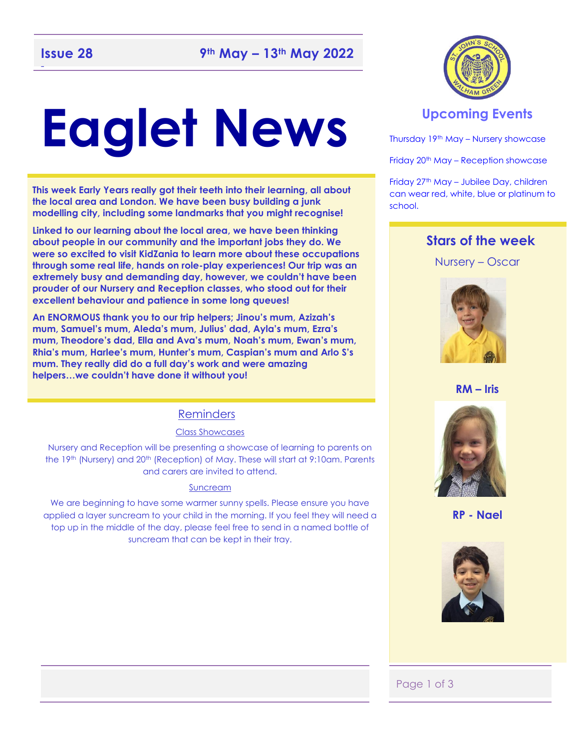## -

# **Eaglet News**

**This week Early Years really got their teeth into their learning, all about the local area and London. We have been busy building a junk modelling city, including some landmarks that you might recognise!** 

**Linked to our learning about the local area, we have been thinking about people in our community and the important jobs they do. We were so excited to visit KidZania to learn more about these occupations through some real life, hands on role-play experiences! Our trip was an extremely busy and demanding day, however, we couldn't have been prouder of our Nursery and Reception classes, who stood out for their excellent behaviour and patience in some long queues!** 

**An ENORMOUS thank you to our trip helpers; Jinou's mum, Azizah's mum, Samuel's mum, Aleda's mum, Julius' dad, Ayla's mum, Ezra's mum, Theodore's dad, Ella and Ava's mum, Noah's mum, Ewan's mum, Rhia's mum, Harlee's mum, Hunter's mum, Caspian's mum and Arlo S's mum. They really did do a full day's work and were amazing helpers…we couldn't have done it without you!** 

#### Reminders

#### Class Showcases

Nursery and Reception will be presenting a showcase of learning to parents on the 19th (Nursery) and 20th (Reception) of May. These will start at 9:10am. Parents and carers are invited to attend.

#### Suncream

We are beginning to have some warmer sunny spells. Please ensure you have applied a layer suncream to your child in the morning. If you feel they will need a top up in the middle of the day, please feel free to send in a named bottle of suncream that can be kept in their tray.



#### **Upcoming Events**

Thursday 19th May – Nursery showcase

Friday 20<sup>th</sup> May – Reception showcase

Friday 27th May – Jubilee Day, children can wear red, white, blue or platinum to school.

#### **Stars of the week**

Nursery – Oscar



#### **RM – Iris**



**RP - Nael**



#### Page 1 of 3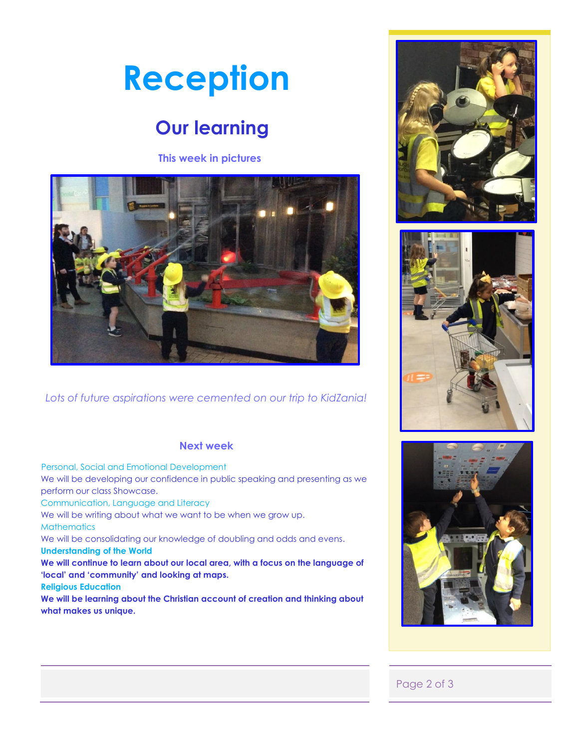# **Reception**

# **Our learning**

#### **This week in pictures**



*Lots of future aspirations were cemented on our trip to KidZania!*

#### **Next week**

 Personal, Social and Emotional Development We will be developing our confidence in public speaking and presenting as we perform our class Showcase. Communication, Language and Literacy We will be writing about what we want to be when we grow up. **Mathematics** We will be consolidating our knowledge of doubling and odds and evens. **Understanding of the World We will continue to learn about our local area, with a focus on the language of 'local' and 'community' and looking at maps. Religious Education We will be learning about the Christian account of creation and thinking about what makes us unique.** 







#### Page 2 of 3